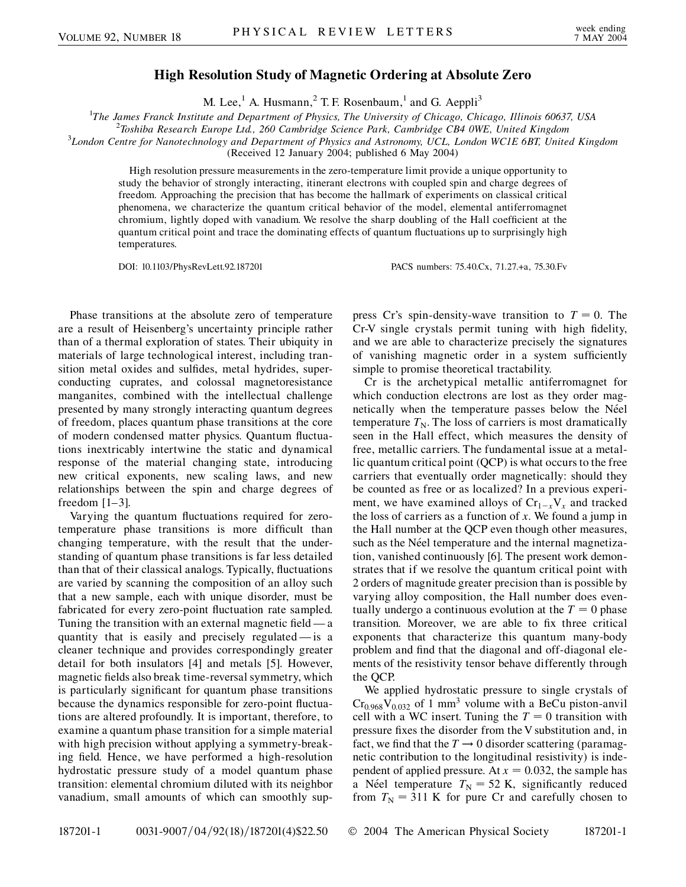## **High Resolution Study of Magnetic Ordering at Absolute Zero**

M. Lee,<sup>1</sup> A. Husmann,<sup>2</sup> T. F. Rosenbaum,<sup>1</sup> and G. Aeppli<sup>3</sup>

<sup>1</sup>The James Franck Institute and Department of Physics, The University of Chicago, Chicago, Illinois 60637, USA<br><sup>2</sup>Toshiba Basearch Europe Ltd. 260 Cambridge Science Park, Cambridge CB4 OWE, United Kingdom

*Toshiba Research Europe Ltd., 260 Cambridge Science Park, Cambridge CB4 0WE, United Kingdom* <sup>3</sup>

*London Centre for Nanotechnology and Department of Physics and Astronomy, UCL, London WC1E 6BT, United Kingdom*

(Received 12 January 2004; published 6 May 2004)

High resolution pressure measurements in the zero-temperature limit provide a unique opportunity to study the behavior of strongly interacting, itinerant electrons with coupled spin and charge degrees of freedom. Approaching the precision that has become the hallmark of experiments on classical critical phenomena, we characterize the quantum critical behavior of the model, elemental antiferromagnet chromium, lightly doped with vanadium. We resolve the sharp doubling of the Hall coefficient at the quantum critical point and trace the dominating effects of quantum fluctuations up to surprisingly high temperatures.

DOI: 10.1103/PhysRevLett.92.187201 PACS numbers: 75.40.Cx, 71.27.+a, 75.30.Fv

Phase transitions at the absolute zero of temperature are a result of Heisenberg's uncertainty principle rather than of a thermal exploration of states. Their ubiquity in materials of large technological interest, including transition metal oxides and sulfides, metal hydrides, superconducting cuprates, and colossal magnetoresistance manganites, combined with the intellectual challenge presented by many strongly interacting quantum degrees of freedom, places quantum phase transitions at the core of modern condensed matter physics. Quantum fluctuations inextricably intertwine the static and dynamical response of the material changing state, introducing new critical exponents, new scaling laws, and new relationships between the spin and charge degrees of freedom [1–3].

Varying the quantum fluctuations required for zerotemperature phase transitions is more difficult than changing temperature, with the result that the understanding of quantum phase transitions is far less detailed than that of their classical analogs. Typically, fluctuations are varied by scanning the composition of an alloy such that a new sample, each with unique disorder, must be fabricated for every zero-point fluctuation rate sampled. Tuning the transition with an external magnetic field — a quantity that is easily and precisely regulated — is a cleaner technique and provides correspondingly greater detail for both insulators [4] and metals [5]. However, magnetic fields also break time-reversal symmetry, which is particularly significant for quantum phase transitions because the dynamics responsible for zero-point fluctuations are altered profoundly. It is important, therefore, to examine a quantum phase transition for a simple material with high precision without applying a symmetry-breaking field. Hence, we have performed a high-resolution hydrostatic pressure study of a model quantum phase transition: elemental chromium diluted with its neighbor vanadium, small amounts of which can smoothly suppress Cr's spin-density-wave transition to  $T = 0$ . The Cr-V single crystals permit tuning with high fidelity, and we are able to characterize precisely the signatures of vanishing magnetic order in a system sufficiently simple to promise theoretical tractability.

Cr is the archetypical metallic antiferromagnet for which conduction electrons are lost as they order magnetically when the temperature passes below the Néel temperature  $T_N$ . The loss of carriers is most dramatically seen in the Hall effect, which measures the density of free, metallic carriers. The fundamental issue at a metallic quantum critical point (QCP) is what occurs to the free carriers that eventually order magnetically: should they be counted as free or as localized? In a previous experiment, we have examined alloys of  $Cr_{1-x}V_x$  and tracked the loss of carriers as a function of *x*. We found a jump in the Hall number at the QCP even though other measures, such as the Néel temperature and the internal magnetization, vanished continuously [6]. The present work demonstrates that if we resolve the quantum critical point with 2 orders of magnitude greater precision than is possible by varying alloy composition, the Hall number does eventually undergo a continuous evolution at the  $T = 0$  phase transition. Moreover, we are able to fix three critical exponents that characterize this quantum many-body problem and find that the diagonal and off-diagonal elements of the resistivity tensor behave differently through the QCP.

We applied hydrostatic pressure to single crystals of  $Cr<sub>0.968</sub>V<sub>0.032</sub>$  of 1 mm<sup>3</sup> volume with a BeCu piston-anvil cell with a WC insert. Tuning the  $T = 0$  transition with pressure fixes the disorder from the V substitution and, in fact, we find that the  $T \rightarrow 0$  disorder scattering (paramagnetic contribution to the longitudinal resistivity) is independent of applied pressure. At  $x = 0.032$ , the sample has a Néel temperature  $T<sub>N</sub> = 52$  K, significantly reduced from  $T_N = 311$  K for pure Cr and carefully chosen to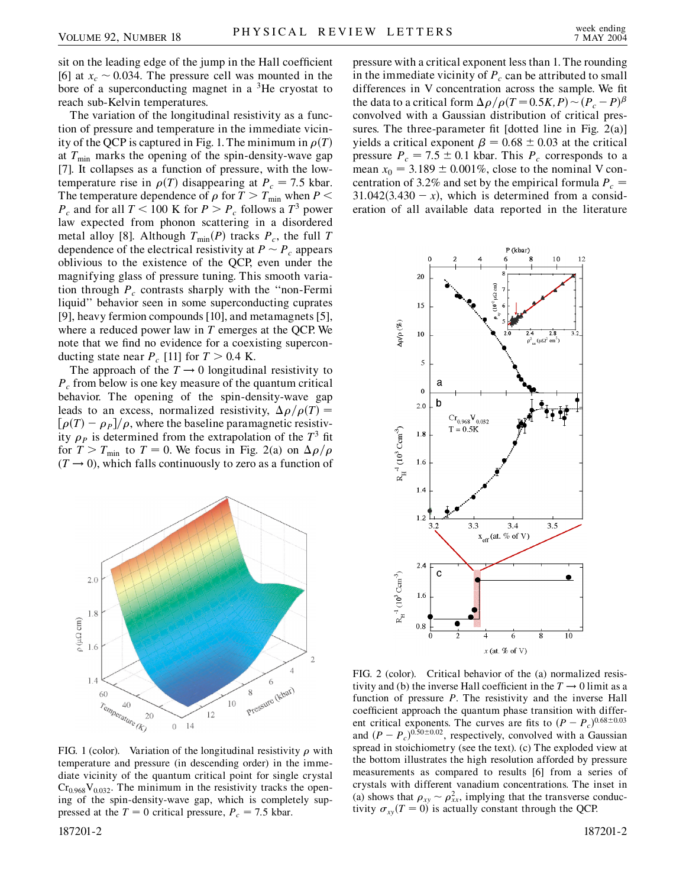sit on the leading edge of the jump in the Hall coefficient [6] at  $x_c \sim 0.034$ . The pressure cell was mounted in the bore of a superconducting magnet in a  ${}^{3}$ He cryostat to reach sub-Kelvin temperatures.

The variation of the longitudinal resistivity as a function of pressure and temperature in the immediate vicinity of the QCP is captured in Fig. 1. The minimum in  $\rho(T)$ at  $T_{\text{min}}$  marks the opening of the spin-density-wave gap [7]. It collapses as a function of pressure, with the lowtemperature rise in  $\rho(T)$  disappearing at  $P_c = 7.5$  kbar. The temperature dependence of  $\rho$  for  $T>T_{\text{min}}$  when  $P \leq$  $P_c$  and for all  $T < 100$  K for  $P > P_c$  follows a  $T<sup>3</sup>$  power law expected from phonon scattering in a disordered metal alloy [8]. Although  $T_{\text{min}}(P)$  tracks  $P_c$ , the full *T* dependence of the electrical resistivity at  $P \sim P_c$  appears oblivious to the existence of the QCP, even under the magnifying glass of pressure tuning. This smooth variation through  $P_c$  contrasts sharply with the "non-Fermi liquid'' behavior seen in some superconducting cuprates [9], heavy fermion compounds [10], and metamagnets [5], where a reduced power law in *T* emerges at the QCP. We note that we find no evidence for a coexisting superconducting state near  $P_c$  [11] for  $T > 0.4$  K.

The approach of the  $T \rightarrow 0$  longitudinal resistivity to *Pc* from below is one key measure of the quantum critical behavior. The opening of the spin-density-wave gap leads to an excess, normalized resistivity,  $\Delta \rho / \rho(T)$  =  $\left[\rho(T) - \rho_P\right] / \rho$ , where the baseline paramagnetic resistivity  $\rho_p$  is determined from the extrapolation of the  $T^3$  fit for  $T > T_{\text{min}}$  to  $T = 0$ . We focus in Fig. 2(a) on  $\Delta \rho / \rho$  $(T \rightarrow 0)$ , which falls continuously to zero as a function of



FIG. 1 (color). Variation of the longitudinal resistivity  $\rho$  with temperature and pressure (in descending order) in the immediate vicinity of the quantum critical point for single crystal  $Cr<sub>0.968</sub>V<sub>0.032</sub>$ . The minimum in the resistivity tracks the opening of the spin-density-wave gap, which is completely suppressed at the  $T = 0$  critical pressure,  $P_c = 7.5$  kbar.

187201-2 187201-2

pressure with a critical exponent less than 1. The rounding in the immediate vicinity of  $P_c$  can be attributed to small differences in V concentration across the sample. We fit the data to a critical form  $\Delta \rho / \rho (T = 0.5K, P) \sim (P_c - P)^{\beta}$ convolved with a Gaussian distribution of critical pressures. The three-parameter fit [dotted line in Fig. 2(a)] yields a critical exponent  $\beta = 0.68 \pm 0.03$  at the critical pressure  $P_c = 7.5 \pm 0.1$  kbar. This  $P_c$  corresponds to a mean  $x_0 = 3.189 \pm 0.001\%$ , close to the nominal V concentration of 3.2% and set by the empirical formula  $P_c$  =  $31.042(3.430 - x)$ , which is determined from a consideration of all available data reported in the literature



FIG. 2 (color). Critical behavior of the (a) normalized resistivity and (b) the inverse Hall coefficient in the  $T \rightarrow 0$  limit as a function of pressure *P*. The resistivity and the inverse Hall coefficient approach the quantum phase transition with different critical exponents. The curves are fits to  $(P - P_c)^{0.68 \pm 0.03}$ and  $(P - P_c)^{0.50 \pm 0.02}$ , respectively, convolved with a Gaussian spread in stoichiometry (see the text). (c) The exploded view at the bottom illustrates the high resolution afforded by pressure measurements as compared to results [6] from a series of crystals with different vanadium concentrations. The inset in (a) shows that  $\rho_{xy} \sim \rho_{xx}^2$ , implying that the transverse conductivity  $\sigma_{xy}(T=0)$  is actually constant through the QCP.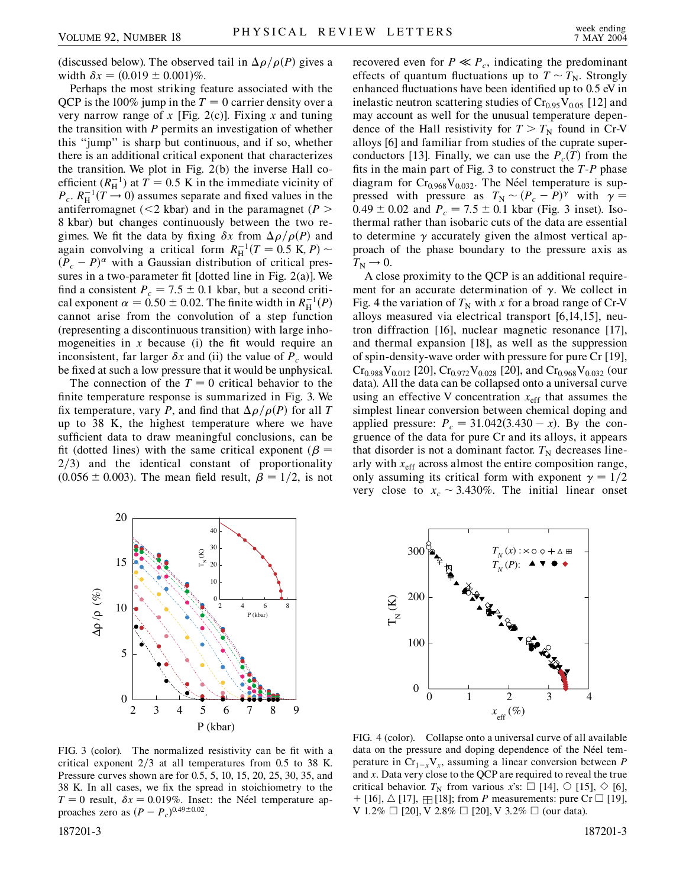(discussed below). The observed tail in  $\Delta \rho / \rho(P)$  gives a width  $\delta x = (0.019 \pm 0.001)\%$ .

Perhaps the most striking feature associated with the QCP is the 100% jump in the  $T = 0$  carrier density over a very narrow range of *x* [Fig. 2(c)]. Fixing *x* and tuning the transition with *P* permits an investigation of whether this ''jump'' is sharp but continuous, and if so, whether there is an additional critical exponent that characterizes the transition. We plot in Fig. 2(b) the inverse Hall coefficient  $(R_{\text{H}}^{-1})$  at  $T = 0.5$  K in the immediate vicinity of  $P_c$ .  $R_H^{-1}(T \rightarrow 0)$  assumes separate and fixed values in the antiferromagnet (*<*2 kbar) and in the paramagnet (*P >* 8 kbar) but changes continuously between the two regimes. We fit the data by fixing  $\delta x$  from  $\Delta \rho / \rho(P)$  and again convolving a critical form  $R_{\rm H}^{-1}(T = 0.5 \text{ K}, P) \sim$  $(P_c - P)^\alpha$  with a Gaussian distribution of critical pressures in a two-parameter fit [dotted line in Fig. 2(a)]. We find a consistent  $P_c = 7.5 \pm 0.1$  kbar, but a second critical exponent  $\alpha = 0.50 \pm 0.02$ . The finite width in  $R_{\rm H}^{-1}(P)$ cannot arise from the convolution of a step function (representing a discontinuous transition) with large inhomogeneities in  $x$  because (i) the fit would require an inconsistent, far larger  $\delta x$  and (ii) the value of  $P_c$  would be fixed at such a low pressure that it would be unphysical.

The connection of the  $T = 0$  critical behavior to the finite temperature response is summarized in Fig. 3. We fix temperature, vary *P*, and find that  $\Delta \rho / \rho(P)$  for all *T* up to 38 K, the highest temperature where we have sufficient data to draw meaningful conclusions, can be fit (dotted lines) with the same critical exponent ( $\beta$  = 2/3) and the identical constant of proportionality  $(0.056 \pm 0.003)$ . The mean field result,  $\beta = 1/2$ , is not

recovered even for  $P \ll P_c$ , indicating the predominant effects of quantum fluctuations up to  $T \sim T_N$ . Strongly enhanced fluctuations have been identified up to 0.5 eV in inelastic neutron scattering studies of  $Cr<sub>0.95</sub>V<sub>0.05</sub>$  [12] and may account as well for the unusual temperature dependence of the Hall resistivity for  $T>T_N$  found in Cr-V alloys [6] and familiar from studies of the cuprate superconductors [13]. Finally, we can use the  $P_c(T)$  from the fits in the main part of Fig. 3 to construct the *T*-*P* phase diagram for Cr<sub>0.968</sub>V<sub>0.032</sub>. The Néel temperature is suppressed with pressure as  $T_N \sim (P_c - P)^\gamma$  with  $\gamma =$  $0.49 \pm 0.02$  and  $P_c = 7.5 \pm 0.1$  kbar (Fig. 3 inset). Isothermal rather than isobaric cuts of the data are essential to determine  $\gamma$  accurately given the almost vertical approach of the phase boundary to the pressure axis as  $T_{\rm N} \rightarrow 0.$ 

A close proximity to the QCP is an additional requirement for an accurate determination of  $\gamma$ . We collect in Fig. 4 the variation of  $T_N$  with x for a broad range of Cr-V alloys measured via electrical transport [6,14,15], neutron diffraction [16], nuclear magnetic resonance [17], and thermal expansion [18], as well as the suppression of spin-density-wave order with pressure for pure Cr [19],  $Cr_{0.988}V_{0.012}$  [20],  $Cr_{0.972}V_{0.028}$  [20], and  $Cr_{0.968}V_{0.032}$  (our data). All the data can be collapsed onto a universal curve using an effective V concentration  $x_{\text{eff}}$  that assumes the simplest linear conversion between chemical doping and applied pressure:  $P_c = 31.042(3.430 - x)$ . By the congruence of the data for pure Cr and its alloys, it appears that disorder is not a dominant factor.  $T_N$  decreases linearly with  $x_{\text{eff}}$  across almost the entire composition range, only assuming its critical form with exponent  $\gamma = 1/2$ very close to  $x_c \sim 3.430\%$ . The initial linear onset



0 FIG. 4 (color). Collapse onto a universal curve of all available data on the pressure and doping dependence of the Néel temperature in  $Cr_{1-x}V_x$ , assuming a linear conversion between *P* and *x*. Data very close to the QCP are required to reveal the true critical behavior.  $T_N$  from various x's:  $\Box$  [14],  $\Diamond$  [15],  $\Diamond$  [6],

*TN* (*x*) : 30  $+$   $\triangle$   $E$  $T_N(P)$ : 200  $\Gamma_{\bf k}^{({\rm K})}$ 100 01234 *x*eff (%)

 $+$  [16],  $\triangle$  [17],  $\boxplus$  [18]; from *P* measurements: pure Cr  $\square$  [19],

V 1.2%  $\Box$  [20], V 2.8%  $\Box$  [20], V 3.2%  $\Box$  (our data).

FIG. 3 (color). The normalized resistivity can be fit with a critical exponent 2/3 at all temperatures from 0.5 to 38 K. Pressure curves shown are for 0.5, 5, 10, 15, 20, 25, 30, 35, and 38 K. In all cases, we fix the spread in stoichiometry to the  $T = 0$  result,  $\delta x = 0.019\%$ . Inset: the Néel temperature approaches zero as  $(P - P_c)^{0.49 \pm 0.02}$ .

187201-3 187201-3